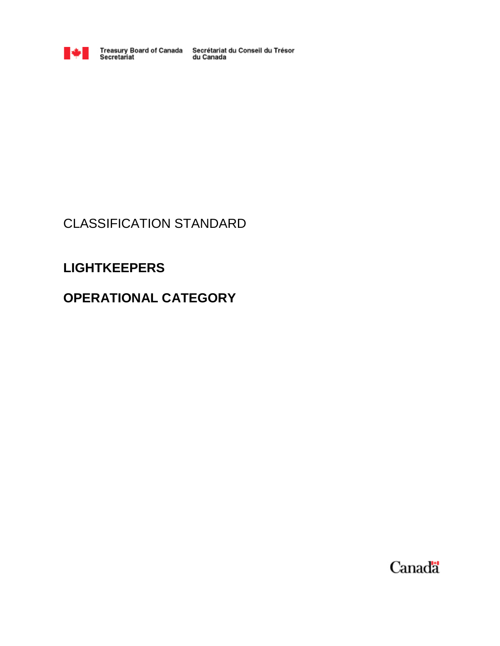

Treasury Board of Canada Secrétariat du Conseil du Trésor<br>Secretariat du Canada

# CLASSIFICATION STANDARD

# **LIGHTKEEPERS**

# **OPERATIONAL CATEGORY**

Canada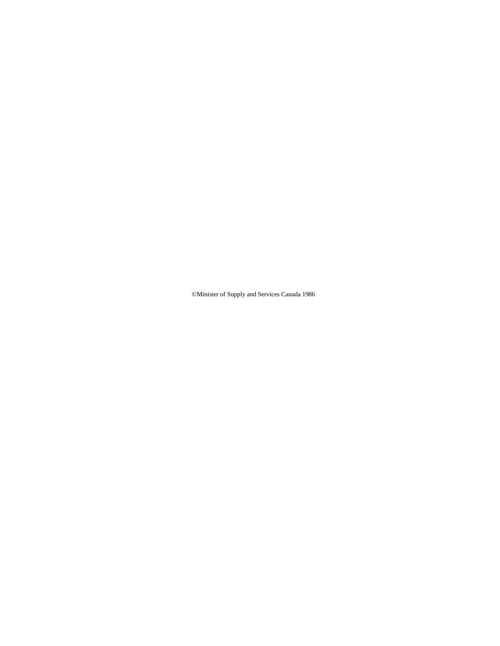©Minister of Supply and Services Canada 1986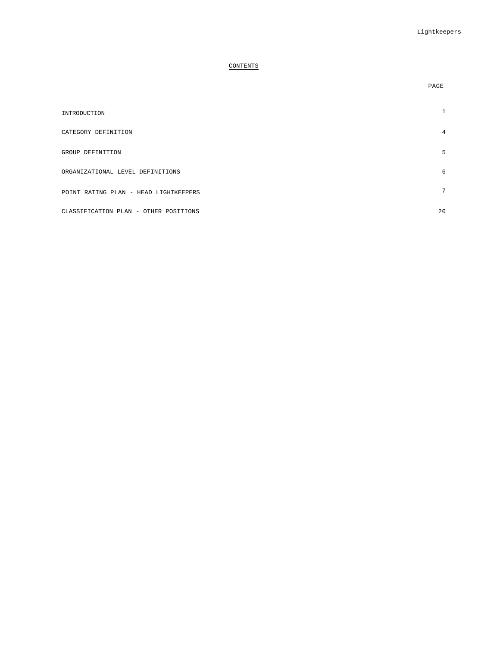# CONTENTS

| INTRODUCTION                          |    |
|---------------------------------------|----|
| CATEGORY DEFINITION                   | 4  |
| GROUP DEFINITION                      | 5  |
| ORGANIZATIONAL LEVEL DEFINITIONS      | 6  |
| POINT RATING PLAN - HEAD LIGHTKEEPERS | 7  |
| CLASSIFICATION PLAN - OTHER POSITIONS | 20 |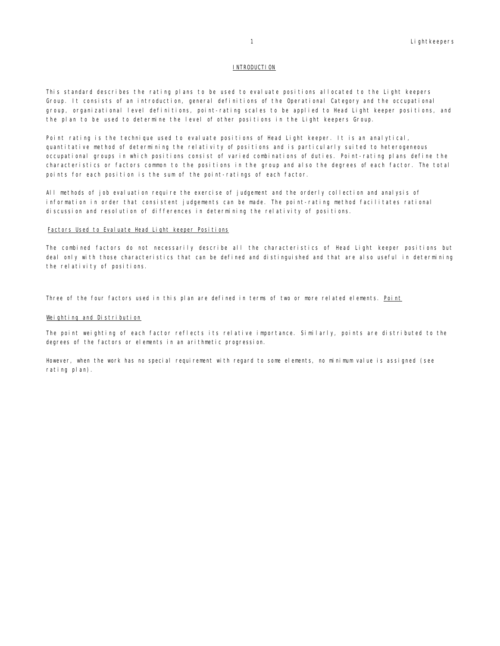#### **INTRODUCTION**

This standard describes the rating plans to be used to evaluate positions allocated to the Light keepers Group. It consists of an introduction, general definitions of the Operational Category and the occupational group, organizational level definitions, point-rating scales to be applied to Head Light keeper positions, and the plan to be used to determine the level of other positions in the Light keepers Group.

Point rating is the technique used to evaluate positions of Head Light keeper. It is an analytical, quantitative method of determining the relativity of positions and is particularly suited to heterogeneous occupational groups in which positions consist of varied combinations of duties. Point-rating plans define the characteristics or factors common to the positions in the group and also the degrees of each factor. The total points for each position is the sum of the point-ratings of each factor.

All methods of job evaluation require the exercise of judgement and the orderly collection and analysis of information in order that consistent judgements can be made. The point-rating method facilitates rational discussion and resolution of differences in determining the relativity of positions.

#### Factors Used to Evaluate Head Light keeper Positions

The combined factors do not necessarily describe all the characteristics of Head Light keeper positions but deal only with those characteristics that can be defined and distinguished and that are also useful in determining the relativity of positions.

Three of the four factors used in this plan are defined in terms of two or more related elements. Point

#### Weighting and Distribution

The point weighting of each factor reflects its relative importance. Similarly, points are distributed to the degrees of the factors or elements in an arithmetic progression.

However, when the work has no special requirement with regard to some elements, no minimum value is assigned (see rating plan).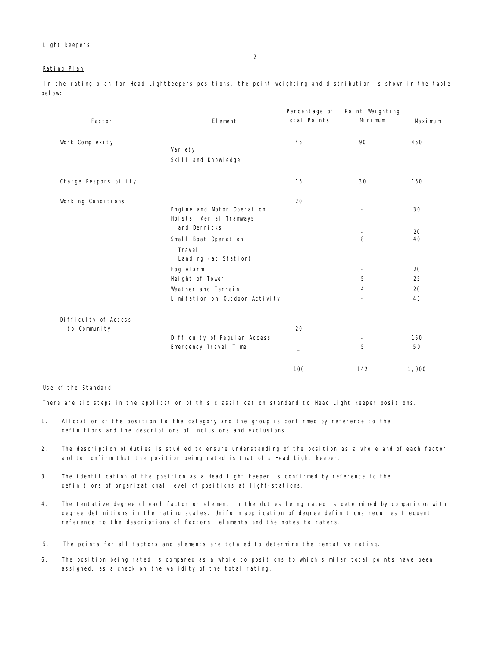#### Rating Plan

In the rating plan for Head Lightkeepers positions, the point weighting and distribution is shown in the table bel ow:

|                       |                                | Percentage of | Point Weighting          |         |
|-----------------------|--------------------------------|---------------|--------------------------|---------|
| Factor                | El ement                       | Total Points  | Mi ni mum                | Maximum |
| Work Complexity       |                                | 45            | 90                       | 450     |
|                       | Vari ety                       |               |                          |         |
|                       | Skill and Knowledge            |               |                          |         |
|                       |                                |               |                          |         |
| Charge Responsibility |                                | 15            | 30                       | 150     |
|                       |                                |               |                          |         |
| Working Conditions    |                                | 20            |                          |         |
|                       | Engine and Motor Operation     |               | $\overline{\phantom{0}}$ | 30      |
|                       | Hoists, Aerial Tramways        |               |                          |         |
|                       | and Derricks                   |               |                          | 20      |
|                       | Small Boat Operation           |               | 8                        | 40      |
|                       | Travel<br>Landing (at Station) |               |                          |         |
|                       | Fog Alarm                      |               | ۰                        | 20      |
|                       | Height of Tower                |               | 5                        | 25      |
|                       | Weather and Terrain            |               | 4                        | 20      |
|                       | Limitation on Outdoor Activity |               | ۰                        | 45      |
| Difficulty of Access  |                                |               |                          |         |
| to Community          |                                | 20            |                          |         |
|                       | Difficulty of Regular Access   |               |                          | 150     |
|                       | Emergency Travel Time          |               | 5                        | 50      |
|                       |                                | 100           | 142                      | 1,000   |

#### Use of the Standard

There are six steps in the application of this classification standard to Head Light keeper positions.

- 1. Allocation of the position to the category and the group is confirmed by reference to the definitions and the descriptions of inclusions and exclusions.
- 2. The description of duties is studied to ensure understanding of the position as a whole and of each factor and to confirm that the position being rated is that of a Head Light keeper.
- 3. The identification of the position as a Head Light keeper is confirmed by reference to the definitions of organizational level of positions at light-stations.
- 4. The tentative degree of each factor or element in the duties being rated is determined by comparison with degree definitions in the rating scales. Uniform application of degree definitions requires frequent reference to the descriptions of factors, elements and the notes to raters.
- 5. The points for all factors and elements are totaled to determine the tentative rating.
- 6. The position being rated is compared as a whole to positions to which similar total points have been assigned, as a check on the validity of the total rating.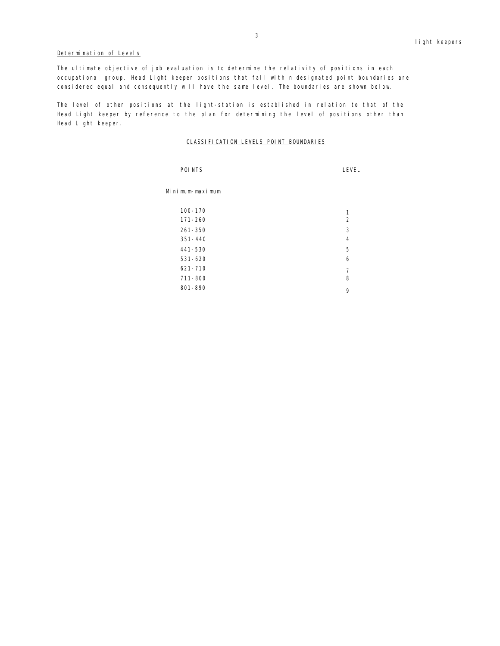# Determination of Levels

The ultimate objective of job evaluation is to determine the relativity of positions in each occupational group. Head Light keeper positions that fall within designated point boundaries are considered equal and consequently will have the same level. The boundaries are shown below.

The level of other positions at the light-station is established in relation to that of the Head Light keeper by reference to the plan for determining the level of positions other than Head Light keeper.

# CLASSIFICATION LEVELS POINT BOUNDARIES

| POI NTS         | LEVEL          |
|-----------------|----------------|
| Minimum-maximum |                |
| $100 - 170$     | 1              |
| $171 - 260$     | 2              |
| $261 - 350$     | 3              |
| $351 - 440$     | $\overline{4}$ |
| 441-530         | 5              |
| $531 - 620$     | 6              |
| $621 - 710$     | 7              |
| $711 - 800$     | 8              |
| 801-890         | 9              |
|                 |                |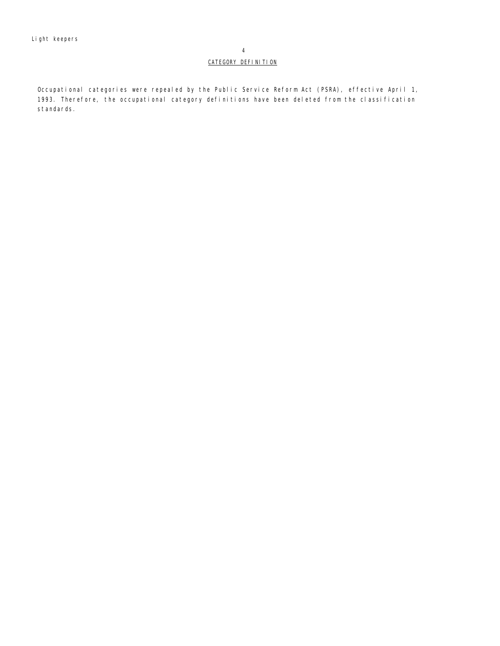# CATEGORY DEFINITION

Occupational categories were repealed by the Public Service Reform Act (PSRA), effective April 1, 1993. Therefore, the occupational category definitions have been deleted from the classification standards.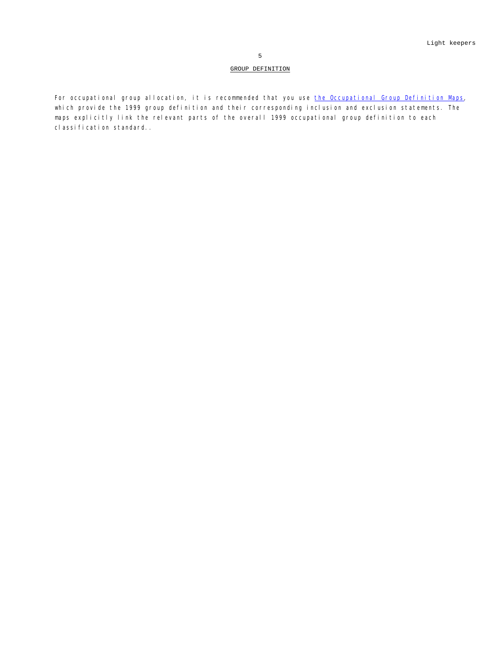# GROUP DEFINITION

For occupational group allocation, it is recommended that you use *the Occupational Group Definition Maps*, which provide the 1999 group definition and their corresponding inclusion and exclusion statements. The maps explicitly link the relevant parts of the overall 1999 occupational group definition to each classification standard..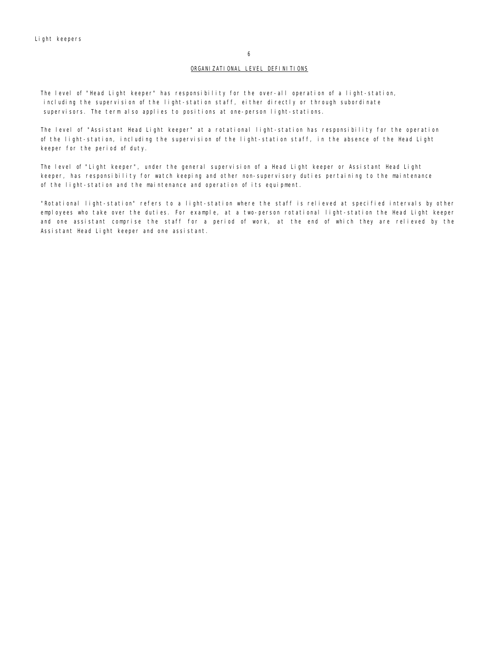6

#### ORGANIZATIONAL LEVEL DEFINITIONS

The level of "Head Light keeper" has responsibility for the over-all operation of a light-station, including the supervision of the light-station staff, either directly or through subordinate supervisors. The term also applies to positions at one-person light-stations.

The level of "Assistant Head Light keeper" at a rotational light-station has responsibility for the operation of the light-station, including the supervision of the light-station staff, in the absence of the Head Light keeper for the period of duty.

The level of "Light keeper", under the general supervision of a Head Light keeper or Assistant Head Light keeper, has responsibility for watch keeping and other non-supervisory duties pertaining to the maintenance of the light-station and the maintenance and operation of its equipment.

"Rotational light-station" refers to a light-station where the staff is relieved at specified intervals by other employees who take over the duties. For example, at a two-person rotational light-station the Head Light keeper and one assistant comprise the staff for a period of work, at the end of which they are relieved by the Assistant Head Light keeper and one assistant.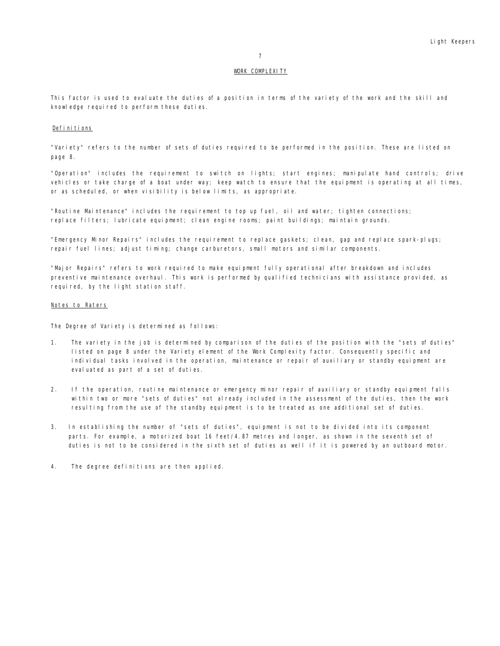# WORK COMPLEXITY

This factor is used to evaluate the duties of a position in terms of the variety of the work and the skill and knowledge required to perform these duties.

## Definitions

"Variety" refers to the number of sets of duties required to be performed in the position. These are listed on page 8.

"Operation" includes the requirement to switch on lights; start engines; manipulate hand controls; drive vehicles or take charge of a boat under way; keep watch to ensure that the equipment is operating at all times, or as scheduled, or when visibility is below limits, as appropriate.

"Routine Maintenance" includes the requirement to top up fuel, oil and water; tighten connections; replace filters; lubricate equipment; clean engine rooms; paint buildings; maintain grounds.

"Emergency Minor Repairs" includes the requirement to replace gaskets; clean, gap and replace spark-plugs; repair fuel lines; adjust timing; change carburetors, small motors and similar components.

"Major Repairs" refers to work required to make equipment fully operational after breakdown and includes preventive maintenance overhaul. This work is performed by qualified technicians with assistance provided, as required, by the light station staff.

#### Notes to Raters

The Degree of Variety is determined as follows:

- 1. The variety in the job is determined by comparison of the duties of the position with the "sets of duties" listed on page 8 under the Variety element of the Work Complexity factor. Consequently specific and individual tasks involved in the operation, maintenance or repair of auxiliary or standby equipment are evaluated as part of a set of duties.
- 2. If the operation, routine maintenance or emergency minor repair of auxiliary or standby equipment falls within two or more "sets of duties" not already included in the assessment of the duties, then the work resulting from the use of the standby equipment is to be treated as one additional set of duties.
- 3. In establishing the number of "sets of duties", equipment is not to be divided into its component parts. For example, a motorized boat 16 feet/4.87 metres and longer, as shown in the seventh set of duties is not to be considered in the sixth set of duties as well if it is powered by an outboard motor.
- 4. The degree definitions are then applied.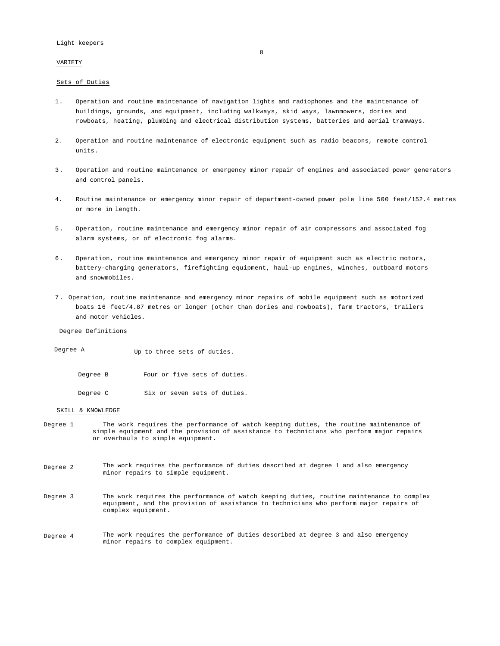VARIETY

#### Sets of Duties

- 1. Operation and routine maintenance of navigation lights and radiophones and the maintenance of buildings, grounds, and equipment, including walkways, skid ways, lawnmowers, dories and rowboats, heating, plumbing and electrical distribution systems, batteries and aerial tramways.
- 2. Operation and routine maintenance of electronic equipment such as radio beacons, remote control units.
- 3. Operation and routine maintenance or emergency minor repair of engines and associated power generators and control panels.
- 4. Routine maintenance or emergency minor repair of department-owned power pole line 500 feet/152.4 metres or more in length.
- 5 . Operation, routine maintenance and emergency minor repair of air compressors and associated fog alarm systems, or of electronic fog alarms.
- 6. Operation, routine maintenance and emergency minor repair of equipment such as electric motors, battery-charging generators, firefighting equipment, haul-up engines, winches, outboard motors and snowmobiles.
- 7 . Operation, routine maintenance and emergency minor repairs of mobile equipment such as motorized boats 16 feet/4.87 metres or longer (other than dories and rowboats), farm tractors, trailers and motor vehicles.

Degree Definitions

Degree A Up to three sets of duties.

Degree B Four or five sets of duties.

Degree C Six or seven sets of duties.

#### SKILL & KNOWLEDGE

- Degree 1 The work requires the performance of watch keeping duties, the routine maintenance of simple equipment and the provision of assistance to technicians who perform major repairs or overhauls to simple equipment.
- Degree 2 The work requires the performance of duties described at degree 1 and also emergency minor repairs to simple equipment.
- Degree 3 The work requires the performance of watch keeping duties, routine maintenance to complex equipment, and the provision of assistance to technicians who perform major repairs of complex equipment.
- Degree 4 The work requires the performance of duties described at degree 3 and also emergency minor repairs to complex equipment.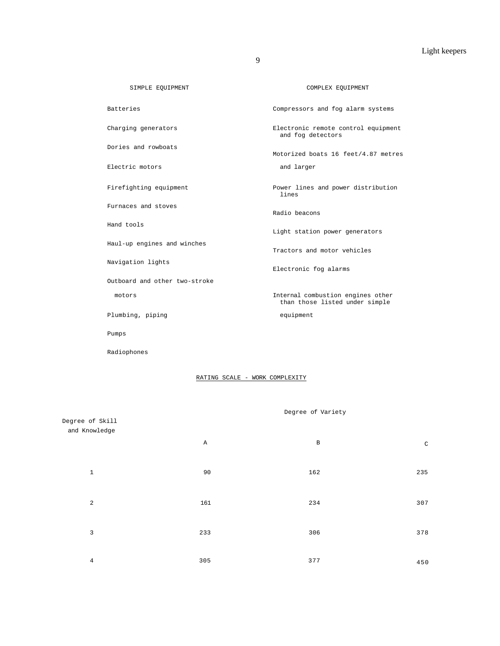| SIMPLE EQUIPMENT              | COMPLEX EQUIPMENT                                                   |
|-------------------------------|---------------------------------------------------------------------|
| <b>Batteries</b>              | Compressors and fog alarm systems                                   |
| Charging generators           | Electronic remote control equipment<br>and fog detectors            |
| Dories and rowboats           | Motorized boats 16 feet/4.87 metres                                 |
| Electric motors               | and larger                                                          |
| Firefighting equipment        | Power lines and power distribution<br>lines                         |
| Furnaces and stoves           | Radio beacons                                                       |
| Hand tools                    | Light station power generators                                      |
| Haul-up engines and winches   | Tractors and motor vehicles                                         |
| Navigation lights             | Electronic fog alarms                                               |
| Outboard and other two-stroke |                                                                     |
| motors                        | Internal combustion engines other<br>than those listed under simple |
| Plumbing, piping              | equipment                                                           |
| Pumps                         |                                                                     |

# RATING SCALE - WORK COMPLEXITY

Radiophones

| Degree of Skill |     | Degree of Variety |              |
|-----------------|-----|-------------------|--------------|
| and Knowledge   |     |                   |              |
|                 | Α   | $\, {\bf B}$      | $\mathtt{C}$ |
|                 |     |                   |              |
| $\mathbf 1$     | 90  | 162               | 235          |
| $\overline{a}$  | 161 | 234               | 307          |
|                 |     |                   |              |
| 3               | 233 | 306               | 378          |
|                 |     |                   |              |
| $\,4$           | 305 | 377               | 450          |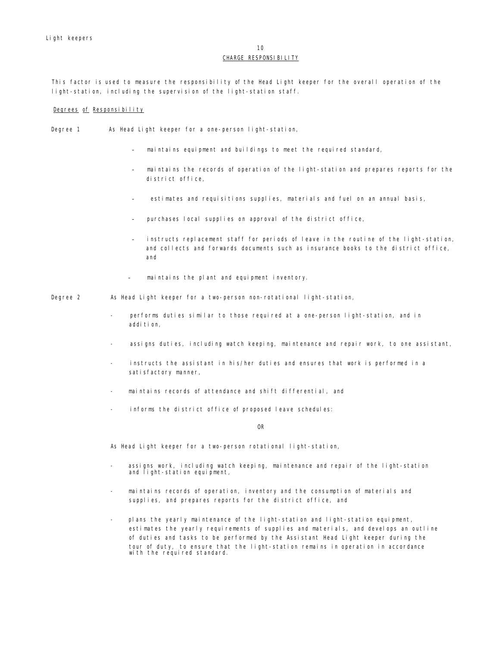# 10

## CHARGE RESPONSI BILITY

This factor is used to measure the responsibility of the Head Light keeper for the overall operation of the light-station, including the supervision of the light-station staff.

# Degrees of Responsibility

- Degree 1 As Head Light keeper for a one-person light-station,
	- maintains equipment and buildings to meet the required standard,
	- maintains the records of operation of the light-station and prepares reports for the district office,
	- estimates and requisitions supplies, materials and fuel on an annual basis,
	- purchases local supplies on approval of the district office,
	- instructs replacement staff for periods of leave in the routine of the light-station, and collects and forwards documents such as insurance books to the district office, and
	- maintains the plant and equipment inventory.
- Degree 2 As Head Light keeper for a two-person non-rotational light-station,
	- performs duties similar to those required at a one-person light-station, and in addi ti on,
	- assigns duties, including watch keeping, maintenance and repair work, to one assistant,
	- instructs the assistant in his/her duties and ensures that work is performed in a satisfactory manner,
	- maintains records of attendance and shift differential, and
	- informs the district office of proposed leave schedules:

OR

As Head Light keeper for a two-person rotational light-station,

- assigns work, including watch keeping, maintenance and repair of the light-station and light-station equipment,
- maintains records of operation, inventory and the consumption of materials and supplies, and prepares reports for the district office, and
- plans the yearly maintenance of the light-station and light-station equipment, estimates the yearly requirements of supplies and materials, and develops an outline of duties and tasks to be performed by the Assistant Head Light keeper during the tour of duty, to ensure that the light-station remains in operation in accordance with the required standard.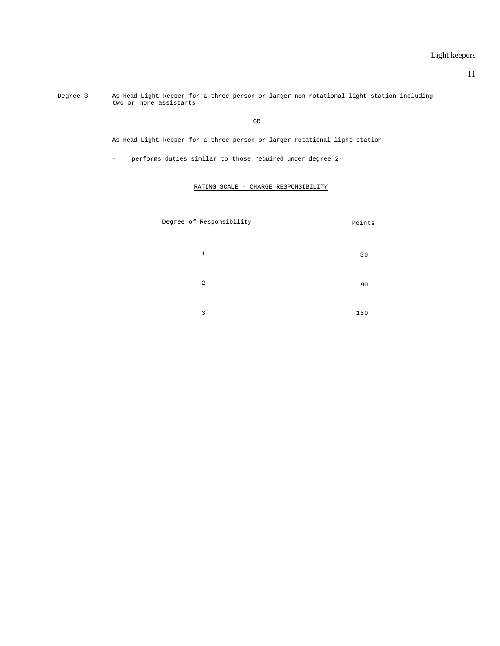11

Degree 3 As Head Light keeper for a three-person or larger non rotational light-station including two or more assistants

OR

As Head Light keeper for a three-person or larger rotational light-station

- performs duties similar to those required under degree 2

RATING SCALE - CHARGE RESPONSIBILITY

|  | Degree of Responsibility | Points |
|--|--------------------------|--------|
|  | $\mathbf{1}$             | 30     |
|  | 2                        | 90     |
|  | 3                        | 150    |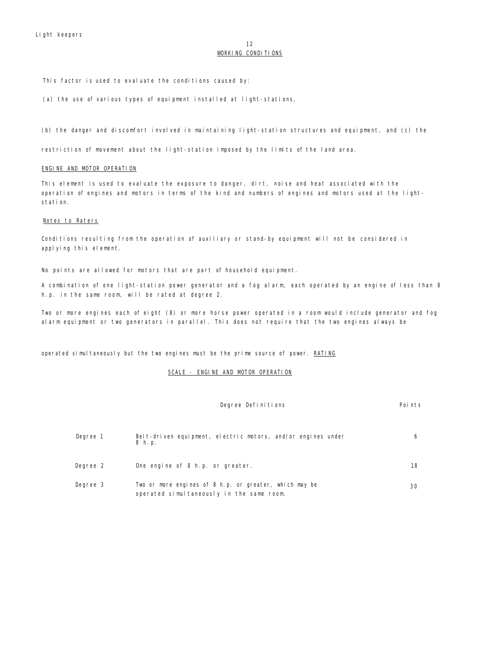#### 12 WORKING CONDITIONS

This factor is used to evaluate the conditions caused by:

(a) the use of various types of equipment installed at light-stations,

(b) the danger and discomfort involved in maintaining light-station structures and equipment, and (c) the

restriction of movement about the light-station imposed by the limits of the land area.

#### ENGINE AND MOTOR OPERATION

This element is used to evaluate the exposure to danger, dirt, noise and heat associated with the operation of engines and motors in terms of the kind and numbers of engines and motors used at the lightstation.

#### Notes to Raters

Conditions resulting from the operation of auxiliary or stand-by equipment will not be considered in applying this element.

No points are allowed for motors that are part of household equipment.

A combination of one light-station power generator and a fog alarm, each operated by an engine of less than 8 h.p. in the same room, will be rated at degree 2.

Two or more engines each of eight (8) or more horse power operated in a room would include generator and fog alarm equipment or two generators in parallel. This does not require that the two engines always be

operated simultaneously but the two engines must be the prime source of power. RATING

# SCALE - ENGINE AND MOTOR OPERATION

|          | Degree Definitions                                                                                  | Points |
|----------|-----------------------------------------------------------------------------------------------------|--------|
| Degree 1 | Belt-driven equipment, electric motors, and/or engines under<br>8 h.p.                              | 6      |
| Degree 2 | One engine of 8 h.p. or greater.                                                                    | 18     |
| Degree 3 | Two or more engines of 8 h.p. or greater, which may be<br>operated simultaneously in the same room. | 30     |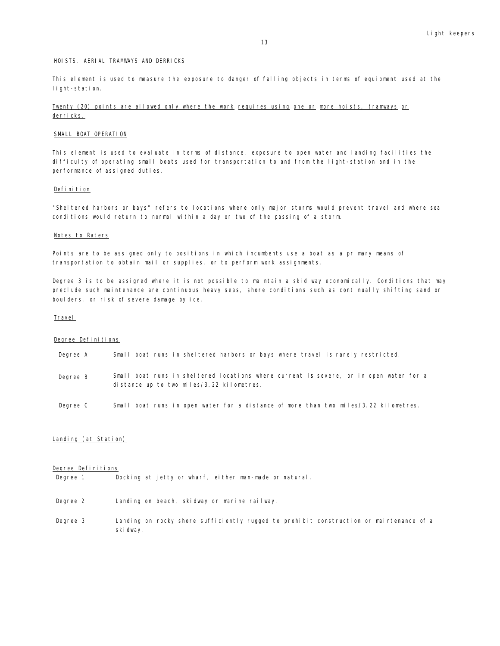#### HOISTS, AERIAL TRAMWAYS AND DERRICKS

This element is used to measure the exposure to danger of falling objects in terms of equipment used at the light-station.

# Twenty (20) points are allowed only where the work requires using one or more hoists, tramways or derricks.

#### SMALL BOAT OPERATION

This element is used to evaluate in terms of distance, exposure to open water and landing facilities the difficulty of operating small boats used for transportation to and from the light-station and in the performance of assigned duties.

#### Definition

"Sheltered harbors or bays" refers to locations where only major storms would prevent travel and where sea conditions would return to normal within a day or two of the passing of a storm.

#### Notes to Raters

Points are to be assigned only to positions in which incumbents use a boat as a primary means of transportation to obtain mail or supplies, or to perform work assignments.

Degree 3 is to be assigned where it is not possible to maintain a skid way economically. Conditions that may preclude such maintenance are continuous heavy seas, shore conditions such as continually shifting sand or boulders, or risk of severe damage by ice.

#### **Travel**

#### Degree Definitions

| Degree A | Small boat runs in sheltered harbors or bays where travel is rarely restricted.                                                     |
|----------|-------------------------------------------------------------------------------------------------------------------------------------|
| Degree B | Small boat runs in sheltered locations where current is severe, or in open water for a<br>distance up to two miles/3.22 kilometres. |

Degree C Small boat runs in open water for a distance of more than two miles/3.22 kilometres.

# Landing (at Station)

# Degree Definitions

Degree 1 Docking at jetty or wharf, either man-made or natural.

| Degree 2 | Landing on beach, skidway or marine railway. |  |  |  |
|----------|----------------------------------------------|--|--|--|
|          |                                              |  |  |  |

Degree 3 Landing on rocky shore sufficiently rugged to prohibit construction or maintenance of a ski dway.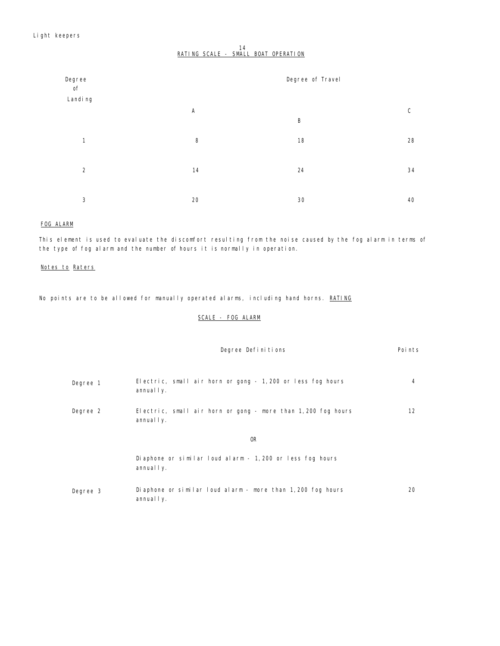# 14<br><u>RATING SCALE - SMALL BOAT OPERATION</u>

| Degree<br>of   |              | Degree of Travel |              |
|----------------|--------------|------------------|--------------|
| Landi ng       | $\mathsf{A}$ |                  | $\mathsf{C}$ |
|                |              | B                |              |
| $\mathbf{1}$   | 8            | 18               | 28           |
| $\overline{2}$ | 14           | 24               | 34           |
|                |              |                  |              |
| 3              | 20           | 30               | 40           |

# FOG ALARM

This element is used to evaluate the discomfort resulting from the noise caused by the fog alarm in terms of the type of fog alarm and the number of hours it is normally in operation.

# Notes to Raters

No points are to be allowed for manually operated alarms, including hand horns. RATING

# SCALE - FOG ALARM

|          | Degree Definitions                                                          | Poi nts |
|----------|-----------------------------------------------------------------------------|---------|
| Degree 1 | Electric, small air horn or gong - 1,200 or less fog hours<br>annual I y.   | 4       |
| Degree 2 | Electric, small air horn or gong - more than 1,200 fog hours<br>annual I y. | 12      |
|          | <b>OR</b>                                                                   |         |
|          | Diaphone or similar loud alarm - 1, 200 or less fog hours<br>annual I y.    |         |
| Degree 3 | Diaphone or similar loud alarm - more than 1,200 fog hours<br>annual I y.   | 20      |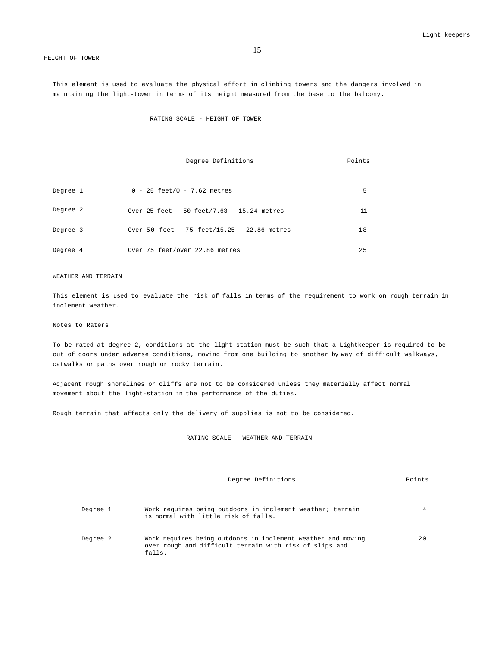#### HEIGHT OF TOWER

This element is used to evaluate the physical effort in climbing towers and the dangers involved in maintaining the light-tower in terms of its height measured from the base to the balcony.

RATING SCALE - HEIGHT OF TOWER

|          | Degree Definitions                          | Points |
|----------|---------------------------------------------|--------|
|          |                                             |        |
| Degree 1 | $0 - 25$ feet/0 - 7.62 metres               | 5      |
|          |                                             |        |
| Degree 2 | Over 25 feet - 50 feet/7.63 - 15.24 metres  | 11     |
|          |                                             |        |
| Degree 3 | Over 50 feet - 75 feet/15.25 - 22.86 metres | 18     |
| Degree 4 | Over 75 feet/over 22.86 metres              | 25     |
|          |                                             |        |

#### WEATHER AND TERRAIN

This element is used to evaluate the risk of falls in terms of the requirement to work on rough terrain in inclement weather.

#### Notes to Raters

To be rated at degree 2, conditions at the light-station must be such that a Lightkeeper is required to be out of doors under adverse conditions, moving from one building to another by way of difficult walkways, catwalks or paths over rough or rocky terrain.

Adjacent rough shorelines or cliffs are not to be considered unless they materially affect normal movement about the light-station in the performance of the duties.

Rough terrain that affects only the delivery of supplies is not to be considered.

RATING SCALE - WEATHER AND TERRAIN

Degree Definitions **Points** 

| Degree 1 | Work requires being outdoors in inclement weather; terrain<br>is normal with little risk of falls.                                |    |
|----------|-----------------------------------------------------------------------------------------------------------------------------------|----|
| Degree 2 | Work requires being outdoors in inclement weather and moving<br>over rough and difficult terrain with risk of slips and<br>falls. | 20 |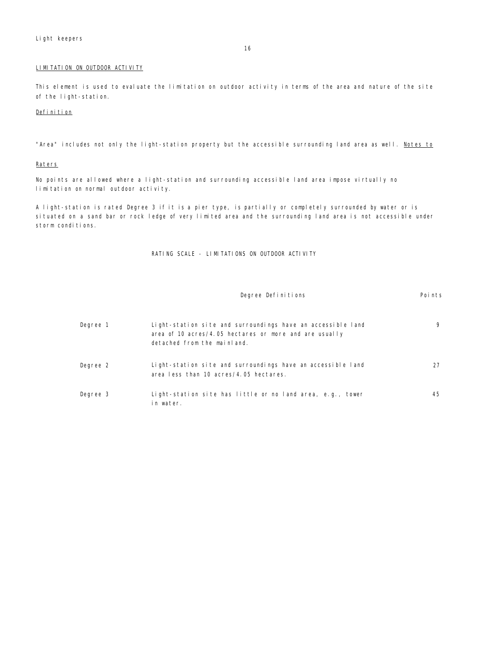# LIMITATION ON OUTDOOR ACTIVITY

This element is used to evaluate the limitation on outdoor activity in terms of the area and nature of the site of the light-station.

#### Definition

"Area" includes not only the light-station property but the accessible surrounding land area as well. Notes to

# **Raters**

No points are allowed where a light-station and surrounding accessible land area impose virtually no limitation on normal outdoor activity.

A light-station is rated Degree 3 if it is a pier type, is partially or completely surrounded by water or is situated on a sand bar or rock ledge of very limited area and the surrounding land area is not accessible under storm conditions.

RATING SCALE - LIMITATIONS ON OUTDOOR ACTIVITY

|          | Degree Definitions                                                                                                                                   | Points |
|----------|------------------------------------------------------------------------------------------------------------------------------------------------------|--------|
| Degree 1 | Light-station site and surroundings have an accessible land<br>area of 10 acres/4.05 hectares or more and are usually<br>detached from the mainland. | 9      |
| Degree 2 | Light-station site and surroundings have an accessible land<br>area less than 10 acres/4.05 hectares.                                                | 27     |
| Degree 3 | Light-station site has little or no land area, e.g., tower<br>in water.                                                                              | 45     |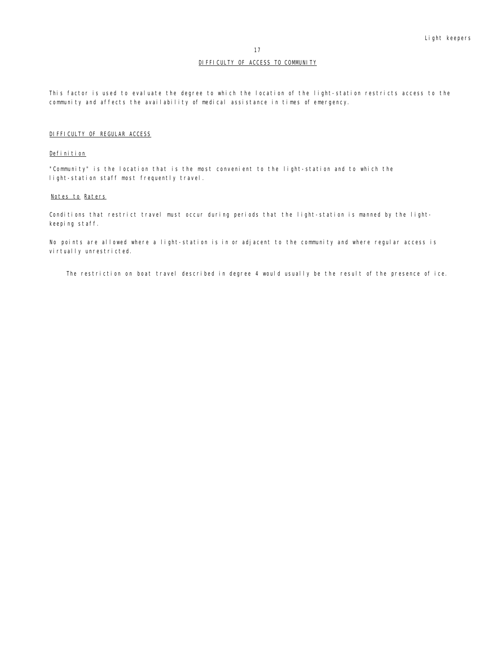## DIFFICULTY OF ACCESS TO COMMUNITY

This factor is used to evaluate the degree to which the location of the light-station restricts access to the community and affects the availability of medical assistance in times of emergency.

## DIFFICULTY OF REGULAR ACCESS

## Definition

"Community" is the location that is the most convenient to the light-station and to which the light-station staff most frequently travel.

#### Notes to Raters

Conditions that restrict travel must occur during periods that the light-station is manned by the lightkeeping staff.

No points are allowed where a light-station is in or adjacent to the community and where regular access is virtually unrestricted.

The restriction on boat travel described in degree 4 would usually be the result of the presence of ice.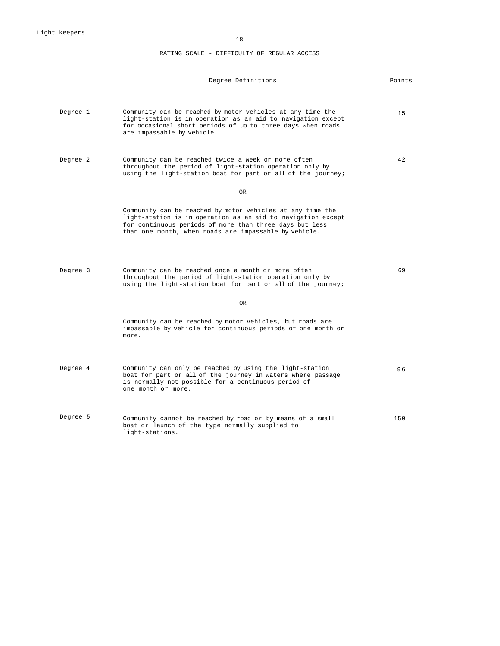18

# RATING SCALE - DIFFICULTY OF REGULAR ACCESS

|          | Degree Definitions                                                                                                                                                                                                                             | Points |
|----------|------------------------------------------------------------------------------------------------------------------------------------------------------------------------------------------------------------------------------------------------|--------|
| Degree 1 | Community can be reached by motor vehicles at any time the<br>light-station is in operation as an aid to navigation except<br>for occasional short periods of up to three days when roads<br>are impassable by vehicle.                        | 1.5    |
| Degree 2 | Community can be reached twice a week or more often<br>throughout the period of light-station operation only by<br>using the light-station boat for part or all of the journey;                                                                | 42     |
|          | 0R                                                                                                                                                                                                                                             |        |
|          | Community can be reached by motor vehicles at any time the<br>light-station is in operation as an aid to navigation except<br>for continuous periods of more than three days but less<br>than one month, when roads are impassable by vehicle. |        |
| Degree 3 | Community can be reached once a month or more often<br>throughout the period of light-station operation only by<br>using the light-station boat for part or all of the journey;                                                                | 69     |
|          | OR.                                                                                                                                                                                                                                            |        |
|          | Community can be reached by motor vehicles, but roads are<br>impassable by vehicle for continuous periods of one month or<br>more.                                                                                                             |        |
| Degree 4 | Community can only be reached by using the light-station<br>boat for part or all of the journey in waters where passage<br>is normally not possible for a continuous period of<br>one month or more.                                           | 96     |
| Degree 5 | Community cannot be reached by road or by means of a small<br>boat or launch of the type normally supplied to<br>light-stations.                                                                                                               | 150    |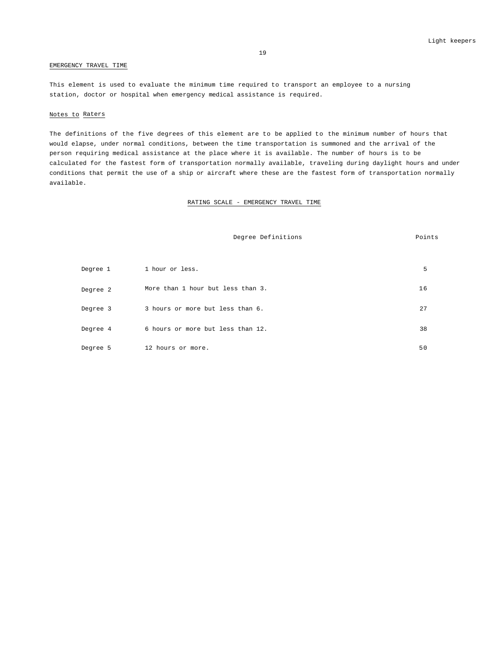#### EMERGENCY TRAVEL TIME

This element is used to evaluate the minimum time required to transport an employee to a nursing station, doctor or hospital when emergency medical assistance is required.

#### Notes to Raters

The definitions of the five degrees of this element are to be applied to the minimum number of hours that would elapse, under normal conditions, between the time transportation is summoned and the arrival of the person requiring medical assistance at the place where it is available. The number of hours is to be calculated for the fastest form of transportation normally available, traveling during daylight hours and under conditions that permit the use of a ship or aircraft where these are the fastest form of transportation normally available.

#### RATING SCALE - EMERGENCY TRAVEL TIME

Degree Definitions **Points** 

# Degree 1 1 hour or less. 5 Degree 2 More than 1 hour but less than 3. 16 Degree 3 3 hours or more but less than 6. 27 Degree 4 6 hours or more but less than 12. 38 Degree 5 12 hours or more. 50